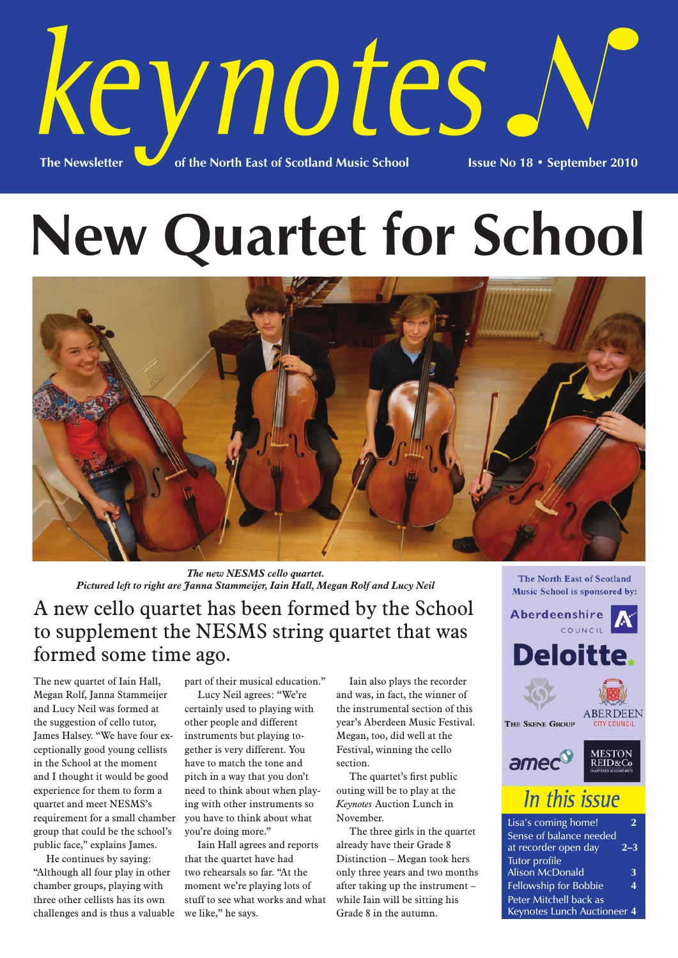

# **New Quartet for School**



*The new NESMS cello quartet. Pictured left to right are Janna Stammeijer, Iain Hall, Megan Rolf and Lucy Neil*

## A new cello quartet has been formed by the School to supplement the NESMS string quartet that was formed some time ago.

The new quartet of Iain Hall, Megan Rolf, Janna Stammeijer and Lucy Neil was formed at the suggestion of cello tutor, James Halsey. "We have four exceptionally good young cellists in the School at the moment and I thought it would be good experience for them to form a quartet and meet NESMS's requirement for a small chamber group that could be the school's public face," explains James.

He continues by saying: "Although all four play in other chamber groups, playing with three other cellists has its own challenges and is thus a valuable

part of their musical education." Lucy Neil agrees: "We're certainly used to playing with other people and different instruments but playing together is very different. You have to match the tone and pitch in a way that you don't need to think about when playing with other instruments so you have to think about what you're doing more."

Iain Hall agrees and reports that the quartet have had two rehearsals so far. "At the moment we're playing lots of stuff to see what works and what we like," he says.

Iain also plays the recorder and was, in fact, the winner of the instrumental section of this year's Aberdeen Music Festival. Megan, too, did well at the Festival, winning the cello section.

The quartet's first public outing will be to play at the *Keynotes* Auction Lunch in November.

The three girls in the quartet already have their Grade 8 Distinction – Megan took hers only three years and two months after taking up the instrument – while Iain will be sitting his Grade 8 in the autumn.

The North East of Scotland Music School is sponsored by:



| Sense of balance needed            |         |
|------------------------------------|---------|
| at recorder open day               | $2 - 3$ |
| <b>Tutor</b> profile               |         |
| <b>Alison McDonald</b>             | 3       |
| Fellowship for Bobbie              | 4       |
| Peter Mitchell back as             |         |
| <b>Keynotes Lunch Auctioneer 4</b> |         |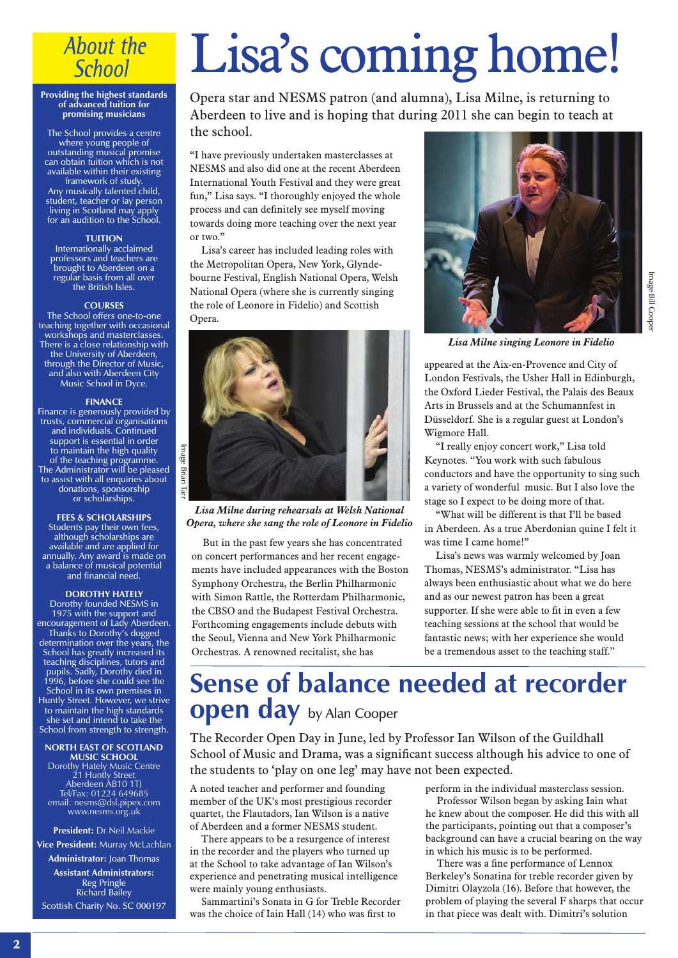## **About the School**

#### **Providing the highest standards of advanced tuition for promising musicians**

The School provides a centre where young people of outstanding musical promise can obtain tuition which is not available within their existing framework of study. Any musically talented child, student, teacher or lay person living in Scotland may apply for an audition to the School.

#### **TUITION**

Internationally acclaimed professors and teachers are brought to Aberdeen on a regular basis from all over the British Isles.

#### **COURSES**

The School offers one-to-one teaching together with occasional workshops and masterclasses. There is a close relationship with the University of Aberdeen, through the Director of Music, and also with Aberdeen City Music School in Dyce.

#### **FINANCE**

Finance is generously provided by trusts, commercial organisations and individuals. Continued support is essential in order to maintain the high quality of the teaching programme. The Administrator will be pleased to assist with all enquiries about donations, sponsorship or scholarships.

**FEES & SCHOLARSHIPS** Students pay their own fees, although scholarships are available and are applied for annually. Any award is made on a balance of musical potential and financial need.

#### **DOROTHY HATELY**

Dorothy founded NESMS in 1975 with the support and encouragement of Lady Aberdeen. Thanks to Dorothy's dogged determination over the years, the School has greatly increased its teaching disciplines, tutors and pupils. Sadly, Dorothy died in 1996, before she could see the School in its own premises in Huntly Street. However, we strive to maintain the high standards she set and intend to take the School from strength to strength.

**NORTH EAST OF SCOTLAND MUSIC SCHOOL** Dorothy Hately Music Centre 21 Huntly Street Aberdeen AB10 1TJ Tel/Fax: 01224 649685

email: nesms@dsl.pipex.com www.nesms.org.uk

**President:** Dr Neil Mackie

**Vice President:** Murray McLachlan **Administrator:** Joan Thomas

**Assistant Administrators:** Reg Pringle Richard Bailey Scottish Charity No. SC 000197

## Lisa's coming home!

Opera star and NESMS patron (and alumna), Lisa Milne, is returning to Aberdeen to live and is hoping that during 2011 she can begin to teach at the school.

"I have previously undertaken masterclasses at NESMS and also did one at the recent Aberdeen International Youth Festival and they were great fun," Lisa says. "I thoroughly enjoyed the whole process and can definitely see myself moving towards doing more teaching over the next year or two."

Lisa's career has included leading roles with the Metropolitan Opera, New York, Glyndebourne Festival, English National Opera, Welsh National Opera (where she is currently singing the role of Leonore in Fidelio) and Scottish Opera.



*Lisa Milne during rehearsals at Welsh National Opera, where she sang the role of Leonore in Fidelio*

But in the past few years she has concentrated on concert performances and her recent engagements have included appearances with the Boston Symphony Orchestra, the Berlin Philharmonic with Simon Rattle, the Rotterdam Philharmonic, the CBSO and the Budapest Festival Orchestra. Forthcoming engagements include debuts with the Seoul, Vienna and New York Philharmonic Orchestras. A renowned recitalist, she has



*Lisa Milne singing Leonore in Fidelio*

appeared at the Aix-en-Provence and City of London Festivals, the Usher Hall in Edinburgh, the Oxford Lieder Festival, the Palais des Beaux Arts in Brussels and at the Schumannfest in Düsseldorf. She is a regular guest at London's Wigmore Hall.

"I really enjoy concert work," Lisa told Keynotes. "You work with such fabulous conductors and have the opportunity to sing such a variety of wonderful music. But I also love the stage so I expect to be doing more of that.

"What will be different is that I'll be based in Aberdeen. As a true Aberdonian quine I felt it was time I came home!"

Lisa's news was warmly welcomed by Joan Thomas, NESMS's administrator. "Lisa has always been enthusiastic about what we do here and as our newest patron has been a great supporter. If she were able to fit in even a few teaching sessions at the school that would be fantastic news; with her experience she would be a tremendous asset to the teaching staff."

## **Sense of balance needed at recorder open day** by Alan Cooper

The Recorder Open Day in June, led by Professor Ian Wilson of the Guildhall School of Music and Drama, was a significant success although his advice to one of the students to 'play on one leg' may have not been expected.

A noted teacher and performer and founding member of the UK's most prestigious recorder quartet, the Flautadors, Ian Wilson is a native of Aberdeen and a former NESMS student.

There appears to be a resurgence of interest in the recorder and the players who turned up at the School to take advantage of Ian Wilson's experience and penetrating musical intelligence were mainly young enthusiasts.

Sammartini's Sonata in G for Treble Recorder was the choice of Iain Hall (14) who was first to

perform in the individual masterclass session.

Professor Wilson began by asking Iain what he knew about the composer. He did this with all the participants, pointing out that a composer's background can have a crucial bearing on the way in which his music is to be performed.

There was a fine performance of Lennox Berkeley's Sonatina for treble recorder given by Dimitri Olayzola (16). Before that however, the problem of playing the several F sharps that occur in that piece was dealt with. Dimitri's solution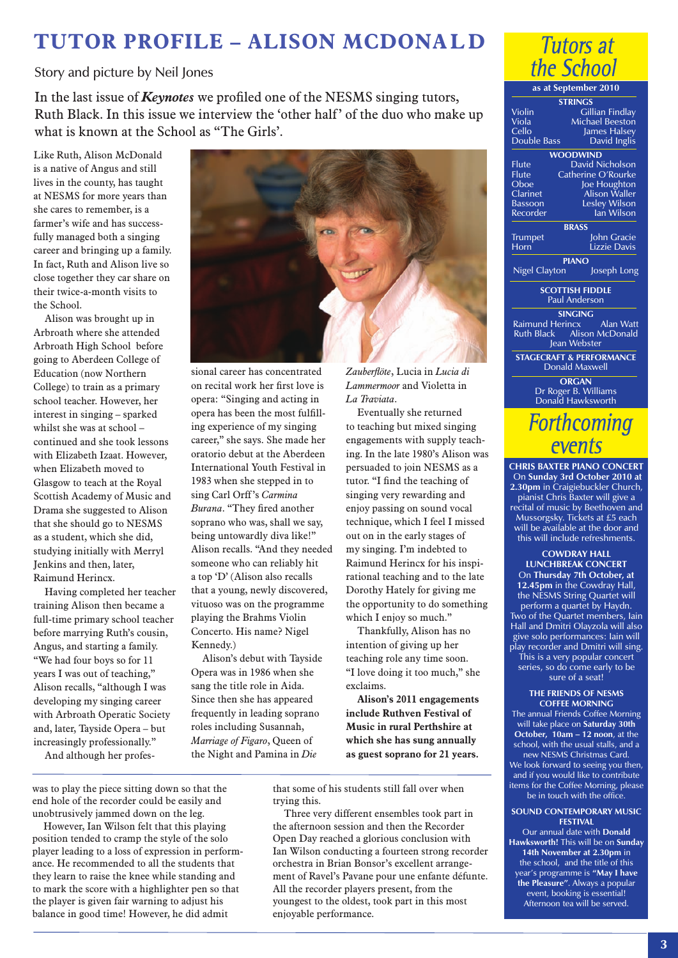## **TUTOR PROFILE – ALISON MCDONA L D**

Story and picture by Neil Jones

In the last issue of *Keynotes* we profiled one of the NESMS singing tutors, Ruth Black. In this issue we interview the 'other half' of the duo who make up what is known at the School as "The Girls'.

Like Ruth, Alison McDonald is a native of Angus and still lives in the county, has taught at NESMS for more years than she cares to remember, is a farmer's wife and has successfully managed both a singing career and bringing up a family. In fact, Ruth and Alison live so close together they car share on their twice-a-month visits to the School.

Alison was brought up in Arbroath where she attended Arbroath High School before going to Aberdeen College of Education (now Northern College) to train as a primary school teacher. However, her interest in singing – sparked whilst she was at school – continued and she took lessons with Elizabeth Izaat. However, when Elizabeth moved to Glasgow to teach at the Royal Scottish Academy of Music and Drama she suggested to Alison that she should go to NESMS as a student, which she did, studying initially with Merryl Jenkins and then, later, Raimund Herincx.

Having completed her teacher training Alison then became a full-time primary school teacher before marrying Ruth's cousin, Angus, and starting a family. "We had four boys so for 11 years I was out of teaching," Alison recalls, "although I was developing my singing career with Arbroath Operatic Society and, later, Tayside Opera – but increasingly professionally."

And although her profes-



sional career has concentrated on recital work her first love is opera: "Singing and acting in opera has been the most fulfilling experience of my singing career," she says. She made her oratorio debut at the Aberdeen International Youth Festival in 1983 when she stepped in to sing Carl Orff 's *Carmina Burana*. "They fired another soprano who was, shall we say, being untowardly diva like!" Alison recalls. "And they needed someone who can reliably hit a top 'D' (Alison also recalls that a young, newly discovered, vituoso was on the programme playing the Brahms Violin Concerto. His name? Nigel Kennedy.)

Alison's debut with Tayside Opera was in 1986 when she sang the title role in Aida. Since then she has appeared frequently in leading soprano roles including Susannah, *Marriage of Figaro*, Queen of the Night and Pamina in *Die*

*Zauberflöte*, Lucia in *Lucia di Lammermoor* and Violetta in *La Traviata*.

Eventually she returned to teaching but mixed singing engagements with supply teaching. In the late 1980's Alison was persuaded to join NESMS as a tutor. "I find the teaching of singing very rewarding and enjoy passing on sound vocal technique, which I feel I missed out on in the early stages of my singing. I'm indebted to Raimund Herincx for his inspirational teaching and to the late Dorothy Hately for giving me the opportunity to do something which I enjoy so much."

Thankfully, Alison has no intention of giving up her teaching role any time soon. "I love doing it too much," she exclaims.

**Alison's 2011 engagements include Ruthven Festival of Music in rural Perthshire at which she has sung annually as guest soprano for 21 years.**

was to play the piece sitting down so that the end hole of the recorder could be easily and unobtrusively jammed down on the leg.

However, Ian Wilson felt that this playing position tended to cramp the style of the solo player leading to a loss of expression in performance. He recommended to all the students that they learn to raise the knee while standing and to mark the score with a highlighter pen so that the player is given fair warning to adjust his balance in good time! However, he did admit

that some of his students still fall over when trying this.

Three very different ensembles took part in the afternoon session and then the Recorder Open Day reached a glorious conclusion with Ian Wilson conducting a fourteen strong recorder orchestra in Brian Bonsor's excellent arrangement of Ravel's Pavane pour une enfante défunte. All the recorder players present, from the youngest to the oldest, took part in this most enjoyable performance.



**STRINGS** Violin Gillian Findlay<br>
Viola Michael Beeston Viola Michael Beeston<br>Cello lames Halsev James Halsey<br>David Inglis Double Bass **WOODWIND** Flute David Nicholson<br>Flute Catherine O'Rourke Flute Catherine O'Rourke<br>Oboe loe Houghton Oboe Joe Houghton<br>Clarinet Alison Waller Clarinet Alison Waller<br>Bassoon Lesley Wilson Bassoon Lesley Wilson Recorder **Ian Wilson BRASS Trumpet** John Gracie<br> **Horn** Lizzie Davis Lizzie Davis **PIANO** Nigel Clayton Joseph Long **SCOTTISH FIDDLE** Paul Anderson **SINGING**<br>Raimund Herincx Raimund Herincx Alan Watt Ruth Black Alison McDonald Jean Webster **STAGECRAFT & PERFORMANCE**

Donald Maxwell

**ORGAN** Dr Roger B. Williams Donald Hawksworth

## **Forthcoming** events

**CHRIS BAXTER PIANO CONCERT**

On **Sunday 3rd October 2010 at 2.30pm** in Craigiebuckler Church, pianist Chris Baxter will give a recital of music by Beethoven and Mussorgsky. Tickets at £5 each will be available at the door and this will include refreshments.

**COWDRAY HALL LUNCHBREAK CONCERT** On **Thursday 7th October, at 12.45pm** in the Cowdray Hall, the NESMS String Quartet will perform a quartet by Haydn. Two of the Quartet members, Iain Hall and Dmitri Olayzola will also give solo performances: Iain will play recorder and Dmitri will sing. This is a very popular concert series, so do come early to be sure of a seat!

#### **THE FRIENDS OF NESMS COFFEE MORNING**

The annual Friends Coffee Morning will take place on **Saturday 30th October, 10am – 12 noon**, at the school, with the usual stalls, and a new NESMS Christmas Card.

We look forward to seeing you then, and if you would like to contribute items for the Coffee Morning, please be in touch with the office.

#### **SOUND CONTEMPORARY MUSIC FESTIVAL**

Our annual date with **Donald Hawksworth!** This will be on **Sunday 14th November at 2.30pm** in the school, and the title of this year's programme is **"May I have the Pleasure"**. Always a popular event, booking is essential! Afternoon tea will be served.